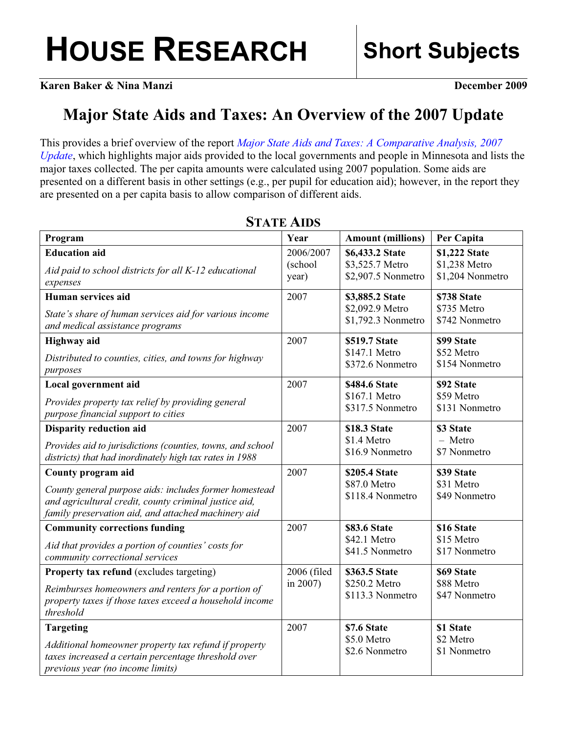**Karen Baker & Nina Manzi December 2009** 

## **Major State Aids and Taxes: An Overview of the 2007 Update**

This provides a brief overview of the report *[Major State Aids and Taxes: A Comparative Analysis, 2007](http://www.house.leg.state.mn.us/hrd/pubs/msa2009.pdf)  [Update](http://www.house.leg.state.mn.us/hrd/pubs/msa2009.pdf)*, which highlights major aids provided to the local governments and people in Minnesota and lists the major taxes collected. The per capita amounts were calculated using 2007 population. Some aids are presented on a different basis in other settings (e.g., per pupil for education aid); however, in the report they are presented on a per capita basis to allow comparison of different aids.

| Program                                                                                                                                                                                      | Year                    | <b>Amount (millions)</b>                           | Per Capita                                |
|----------------------------------------------------------------------------------------------------------------------------------------------------------------------------------------------|-------------------------|----------------------------------------------------|-------------------------------------------|
| <b>Education</b> aid                                                                                                                                                                         | 2006/2007               | \$6,433.2 State                                    | \$1,222 State                             |
| Aid paid to school districts for all K-12 educational                                                                                                                                        | (school                 | \$3,525.7 Metro                                    | \$1,238 Metro                             |
| expenses                                                                                                                                                                                     | year)                   | \$2,907.5 Nonmetro                                 | \$1,204 Nonmetro                          |
| Human services aid                                                                                                                                                                           | 2007                    | \$3,885.2 State                                    | \$738 State                               |
| State's share of human services aid for various income                                                                                                                                       |                         | \$2,092.9 Metro                                    | \$735 Metro                               |
| and medical assistance programs                                                                                                                                                              |                         | \$1,792.3 Nonmetro                                 | \$742 Nonmetro                            |
| <b>Highway</b> aid                                                                                                                                                                           | 2007                    | \$519.7 State                                      | \$99 State                                |
| Distributed to counties, cities, and towns for highway                                                                                                                                       |                         | \$147.1 Metro                                      | \$52 Metro                                |
| purposes                                                                                                                                                                                     |                         | \$372.6 Nonmetro                                   | \$154 Nonmetro                            |
| Local government aid                                                                                                                                                                         | 2007                    | \$484.6 State                                      | \$92 State                                |
| Provides property tax relief by providing general                                                                                                                                            |                         | \$167.1 Metro                                      | \$59 Metro                                |
| purpose financial support to cities                                                                                                                                                          |                         | \$317.5 Nonmetro                                   | \$131 Nonmetro                            |
| <b>Disparity reduction aid</b>                                                                                                                                                               | 2007                    | \$18.3 State                                       | \$3 State                                 |
| Provides aid to jurisdictions (counties, towns, and school                                                                                                                                   |                         | \$1.4 Metro                                        | $-$ Metro                                 |
| districts) that had inordinately high tax rates in 1988                                                                                                                                      |                         | \$16.9 Nonmetro                                    | \$7 Nonmetro                              |
| County program aid<br>County general purpose aids: includes former homestead<br>and agricultural credit, county criminal justice aid,<br>family preservation aid, and attached machinery aid | 2007                    | \$205.4 State<br>\$87.0 Metro<br>\$118.4 Nonmetro  | \$39 State<br>\$31 Metro<br>\$49 Nonmetro |
| <b>Community corrections funding</b>                                                                                                                                                         | 2007                    | \$83.6 State                                       | \$16 State                                |
| Aid that provides a portion of counties' costs for                                                                                                                                           |                         | \$42.1 Metro                                       | \$15 Metro                                |
| community correctional services                                                                                                                                                              |                         | \$41.5 Nonmetro                                    | \$17 Nonmetro                             |
| <b>Property tax refund</b> (excludes targeting)<br>Reimburses homeowners and renters for a portion of<br>property taxes if those taxes exceed a household income<br>threshold                | 2006 (filed<br>in 2007) | \$363.5 State<br>\$250.2 Metro<br>\$113.3 Nonmetro | \$69 State<br>\$88 Metro<br>\$47 Nonmetro |
| <b>Targeting</b><br>Additional homeowner property tax refund if property<br>taxes increased a certain percentage threshold over<br>previous year (no income limits)                          | 2007                    | \$7.6 State<br>\$5.0 Metro<br>\$2.6 Nonmetro       | \$1 State<br>\$2 Metro<br>\$1 Nonmetro    |

## **STATE AIDS**